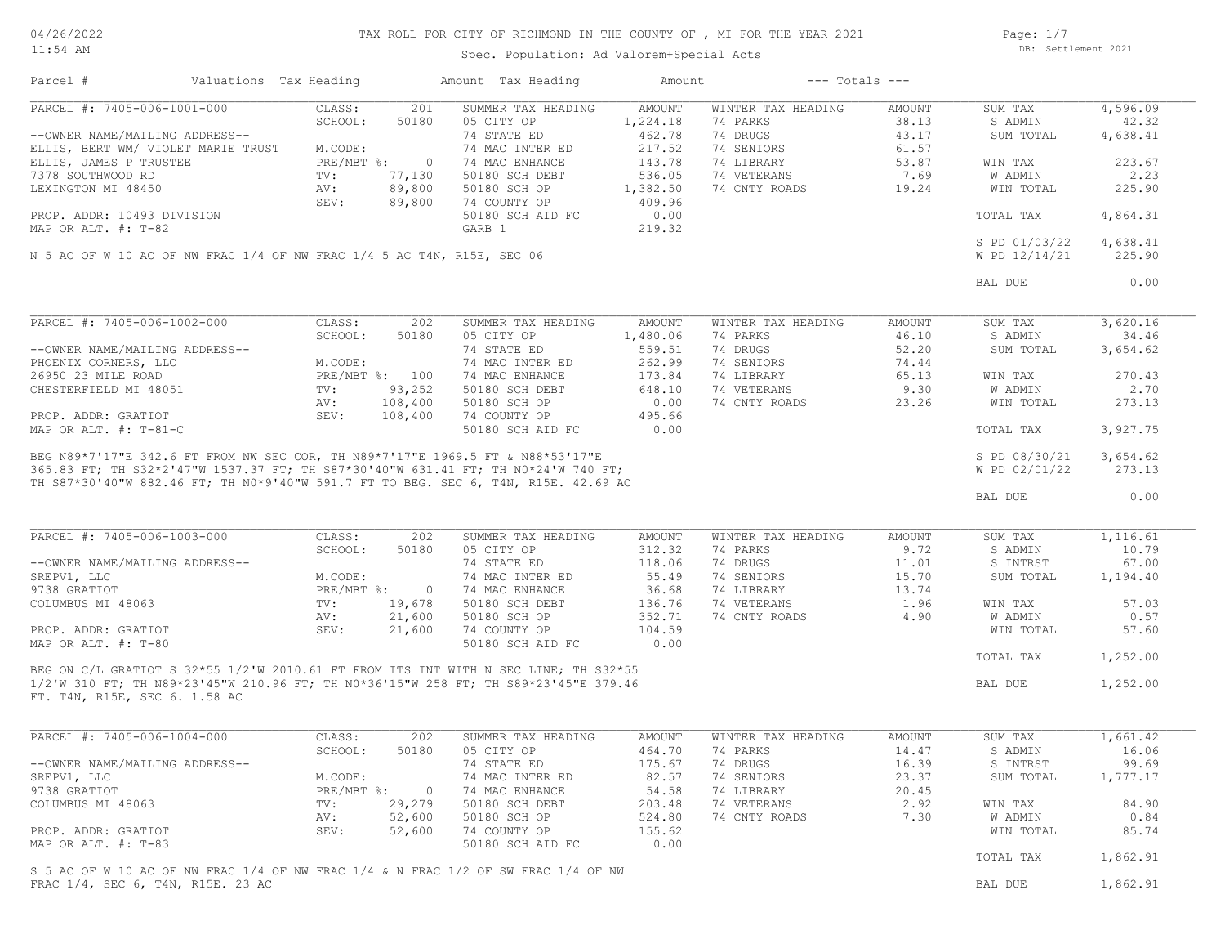# 04/26/2022 11:54 AM

#### TAX ROLL FOR CITY OF RICHMOND IN THE COUNTY OF , MI FOR THE YEAR 2021

Page: 1/7 DB: Settlement 2021

| $11:54$ AM                                                                                                                                                                                                                                                                                                                                     |                                   | Spec. Population: Ad Valorem+Special Acts |                    |                                |                 |                                | DB: Settlement 2021 |  |  |
|------------------------------------------------------------------------------------------------------------------------------------------------------------------------------------------------------------------------------------------------------------------------------------------------------------------------------------------------|-----------------------------------|-------------------------------------------|--------------------|--------------------------------|-----------------|--------------------------------|---------------------|--|--|
| Parcel #<br>Valuations Tax Heading                                                                                                                                                                                                                                                                                                             |                                   | Amount Tax Heading                        | Amount             | $---$ Totals $---$             |                 |                                |                     |  |  |
| PARCEL #: 7405-006-1001-000                                                                                                                                                                                                                                                                                                                    | CLASS:<br>201<br>SCHOOL:<br>50180 | SUMMER TAX HEADING<br>05 CITY OP          | AMOUNT<br>1,224.18 | WINTER TAX HEADING<br>74 PARKS | AMOUNT<br>38.13 | SUM TAX<br>S ADMIN             | 4,596.09<br>42.32   |  |  |
| --OWNER NAME/MAILING ADDRESS--                                                                                                                                                                                                                                                                                                                 |                                   | 74 STATE ED                               | 462.78             | 74 DRUGS                       | 43.17           | SUM TOTAL                      | 4,638.41            |  |  |
| ELLIS, BERT WM/ VIOLET MARIE TRUST                                                                                                                                                                                                                                                                                                             | M.CODE:                           | 74 MAC INTER ED                           | 217.52             | 74 SENIORS                     | 61.57           |                                |                     |  |  |
| ELLIS, JAMES P TRUSTEE                                                                                                                                                                                                                                                                                                                         | PRE/MBT %:<br>$\circ$             | 74 MAC ENHANCE                            | 143.78             | 74 LIBRARY                     | 53.87           | WIN TAX                        | 223.67              |  |  |
| 7378 SOUTHWOOD RD                                                                                                                                                                                                                                                                                                                              | 77,130<br>$\text{TV}$ :           | 50180 SCH DEBT                            | 536.05             | 74 VETERANS                    | 7.69            | W ADMIN                        | 2.23                |  |  |
| LEXINGTON MI 48450                                                                                                                                                                                                                                                                                                                             | 89,800<br>AV:<br>SEV:<br>89,800   | 50180 SCH OP<br>74 COUNTY OP              | 1,382.50<br>409.96 | 74 CNTY ROADS                  | 19.24           | WIN TOTAL                      | 225.90              |  |  |
| PROP. ADDR: 10493 DIVISION                                                                                                                                                                                                                                                                                                                     |                                   | 50180 SCH AID FC                          | 0.00               |                                |                 | TOTAL TAX                      | 4,864.31            |  |  |
| MAP OR ALT. #: T-82                                                                                                                                                                                                                                                                                                                            |                                   | GARB 1                                    | 219.32             |                                |                 |                                |                     |  |  |
| N 5 AC OF W 10 AC OF NW FRAC 1/4 OF NW FRAC 1/4 5 AC T4N, R15E, SEC 06                                                                                                                                                                                                                                                                         |                                   |                                           |                    |                                |                 | S PD 01/03/22<br>W PD 12/14/21 | 4,638.41<br>225.90  |  |  |
|                                                                                                                                                                                                                                                                                                                                                |                                   |                                           |                    |                                |                 | BAL DUE                        | 0.00                |  |  |
|                                                                                                                                                                                                                                                                                                                                                |                                   |                                           |                    |                                |                 |                                |                     |  |  |
| PARCEL #: 7405-006-1002-000                                                                                                                                                                                                                                                                                                                    | CLASS:<br>202                     | SUMMER TAX HEADING                        | AMOUNT             | WINTER TAX HEADING             | AMOUNT          | SUM TAX                        | 3,620.16            |  |  |
|                                                                                                                                                                                                                                                                                                                                                | SCHOOL:<br>50180                  | 05 CITY OP                                | 1,480.06           | 74 PARKS                       | 46.10           | S ADMIN                        | 34.46               |  |  |
| --OWNER NAME/MAILING ADDRESS--                                                                                                                                                                                                                                                                                                                 |                                   | 74 STATE ED                               | 559.51             | 74 DRUGS                       | 52.20           | SUM TOTAL                      | 3,654.62            |  |  |
| PHOENIX CORNERS, LLC                                                                                                                                                                                                                                                                                                                           | M.CODE:                           | 74 MAC INTER ED                           | 262.99             | 74 SENIORS                     | 74.44           |                                |                     |  |  |
| 26950 23 MILE ROAD                                                                                                                                                                                                                                                                                                                             | PRE/MBT %: 100                    | 74 MAC ENHANCE                            | 173.84             | 74 LIBRARY                     | 65.13           | WIN TAX                        | 270.43              |  |  |
| CHESTERFIELD MI 48051                                                                                                                                                                                                                                                                                                                          | 93,252<br>$\texttt{TV}$ :         | 50180 SCH DEBT                            | 648.10             | 74 VETERANS                    | 9.30            | W ADMIN                        | 2.70                |  |  |
|                                                                                                                                                                                                                                                                                                                                                | 108,400<br>AV:                    | 50180 SCH OP                              | 0.00               | 74 CNTY ROADS                  | 23.26           | WIN TOTAL                      | 273.13              |  |  |
| PROP. ADDR: GRATIOT<br>MAP OR ALT. $\#$ : T-81-C                                                                                                                                                                                                                                                                                               | SEV:<br>108,400                   | 74 COUNTY OP<br>50180 SCH AID FC          | 495.66<br>0.00     |                                |                 | TOTAL TAX                      | 3,927.75            |  |  |
| BEG N89*7'17"E 342.6 FT FROM NW SEC COR, TH N89*7'17"E 1969.5 FT & N88*53'17"E<br>365.83 FT; TH S32*2'47"W 1537.37 FT; TH S87*30'40"W 631.41 FT; TH N0*24'W 740 FT;<br>365.83 FT; TH S32*2'47"W 1537.37 FT; TH S87*30'40"W 631.41 FT; TH N0*24'W 740 FT;<br>TH S87*30'40"W 882.46 FT; TH N0*9'40"W 591.7 FT TO BEG. SEC 6, T4N, R15E. 42.69 AC |                                   |                                           |                    |                                |                 | W PD 02/01/22<br>BAL DUE       | 273.13<br>0.00      |  |  |
| PARCEL #: 7405-006-1003-000                                                                                                                                                                                                                                                                                                                    | CLASS:<br>202                     | SUMMER TAX HEADING                        | AMOUNT             | WINTER TAX HEADING             | AMOUNT          | SUM TAX                        | 1,116.61            |  |  |
|                                                                                                                                                                                                                                                                                                                                                | SCHOOL:<br>50180                  | 05 CITY OP                                | 312.32             | 74 PARKS                       | 9.72            | S ADMIN                        | 10.79               |  |  |
| --OWNER NAME/MAILING ADDRESS--                                                                                                                                                                                                                                                                                                                 |                                   | 74 STATE ED                               | 118.06             | 74 DRUGS                       | 11.01           | S INTRST                       | 67.00               |  |  |
| SREPV1, LLC                                                                                                                                                                                                                                                                                                                                    | M.CODE:                           | 74 MAC INTER ED                           | 55.49              | 74 SENIORS                     | 15.70           | SUM TOTAL                      | 1,194.40            |  |  |
| 9738 GRATIOT                                                                                                                                                                                                                                                                                                                                   | $PRE/MBT$ %:<br>$\circ$           | 74 MAC ENHANCE                            | 36.68              | 74 LIBRARY                     | 13.74           |                                |                     |  |  |
| COLUMBUS MI 48063                                                                                                                                                                                                                                                                                                                              | 19,678<br>$\text{TV}$ :           | 50180 SCH DEBT                            | 136.76             | 74 VETERANS                    | 1.96            | WIN TAX                        | 57.03               |  |  |
|                                                                                                                                                                                                                                                                                                                                                | 21,600<br>AV:                     | 50180 SCH OP                              | 352.71             | 74 CNTY ROADS                  | 4.90            | W ADMIN                        | 0.57                |  |  |
| PROP. ADDR: GRATIOT<br>MAP OR ALT. #: T-80                                                                                                                                                                                                                                                                                                     | SEV:<br>21,600                    | 74 COUNTY OP<br>50180 SCH AID FC          | 104.59<br>0.00     |                                |                 | WIN TOTAL                      | 57.60               |  |  |
|                                                                                                                                                                                                                                                                                                                                                |                                   |                                           |                    |                                |                 | TOTAL TAX                      | 1,252.00            |  |  |
| BEG ON C/L GRATIOT S 32*55 1/2'W 2010.61 FT FROM ITS INT WITH N SEC LINE; TH S32*55<br>1/2'W 310 FT; TH N89*23'45"W 210.96 FT; TH N0*36'15"W 258 FT; TH S89*23'45"E 379.46                                                                                                                                                                     |                                   |                                           |                    |                                |                 | BAL DUE                        | 1,252.00            |  |  |
| FT. T4N, R15E, SEC 6. 1.58 AC                                                                                                                                                                                                                                                                                                                  |                                   |                                           |                    |                                |                 |                                |                     |  |  |
| PARCEL #: 7405-006-1004-000                                                                                                                                                                                                                                                                                                                    | CLASS:<br>202                     | SUMMER TAX HEADING                        | <b>AMOUNT</b>      | WINTER TAX HEADING             | AMOUNT          | SUM TAX                        | 1,661.42            |  |  |
|                                                                                                                                                                                                                                                                                                                                                | 50180<br>SCHOOL:                  | 05 CITY OP                                | 464.70             | 74 PARKS                       | 14.47           | S ADMIN                        | 16.06               |  |  |
| --OWNER NAME/MAILING ADDRESS--                                                                                                                                                                                                                                                                                                                 |                                   | 74 STATE ED                               | 175.67             | 74 DRUGS                       | 16.39           | S INTRST                       | 99.69               |  |  |
| SREPV1, LLC                                                                                                                                                                                                                                                                                                                                    | M.CODE:                           | 74 MAC INTER ED                           | 82.57              | 74 SENIORS                     | 23.37           | SUM TOTAL                      | 1,777.17            |  |  |
| 9738 GRATIOT                                                                                                                                                                                                                                                                                                                                   | PRE/MBT %:<br>$\circ$             | 74 MAC ENHANCE                            | 54.58              | 74 LIBRARY                     | 20.45           |                                |                     |  |  |
| COLUMBUS MI 48063                                                                                                                                                                                                                                                                                                                              | 29,279<br>TV:                     | 50180 SCH DEBT                            | 203.48             | 74 VETERANS                    | 2.92            | WIN TAX                        | 84.90               |  |  |
|                                                                                                                                                                                                                                                                                                                                                | 52,600<br>AV:                     | 50180 SCH OP                              | 524.80             | 74 CNTY ROADS                  | 7.30            | W ADMIN                        | 0.84                |  |  |
| PROP. ADDR: GRATIOT                                                                                                                                                                                                                                                                                                                            | 52,600<br>SEV:                    | 74 COUNTY OP                              | 155.62             |                                |                 | WIN TOTAL                      | 85.74               |  |  |
| MAP OR ALT. #: T-83                                                                                                                                                                                                                                                                                                                            |                                   | 50180 SCH AID FC                          | 0.00               |                                |                 |                                |                     |  |  |
| S 5 AC OF W 10 AC OF NW FRAC 1/4 OF NW FRAC 1/4 & N FRAC 1/2 OF SW FRAC 1/4 OF NW                                                                                                                                                                                                                                                              |                                   |                                           |                    |                                |                 | TOTAL TAX                      | 1,862.91            |  |  |
| FRAC 1/4, SEC 6, T4N, R15E. 23 AC                                                                                                                                                                                                                                                                                                              |                                   |                                           |                    |                                |                 | BAL DUE                        | 1,862.91            |  |  |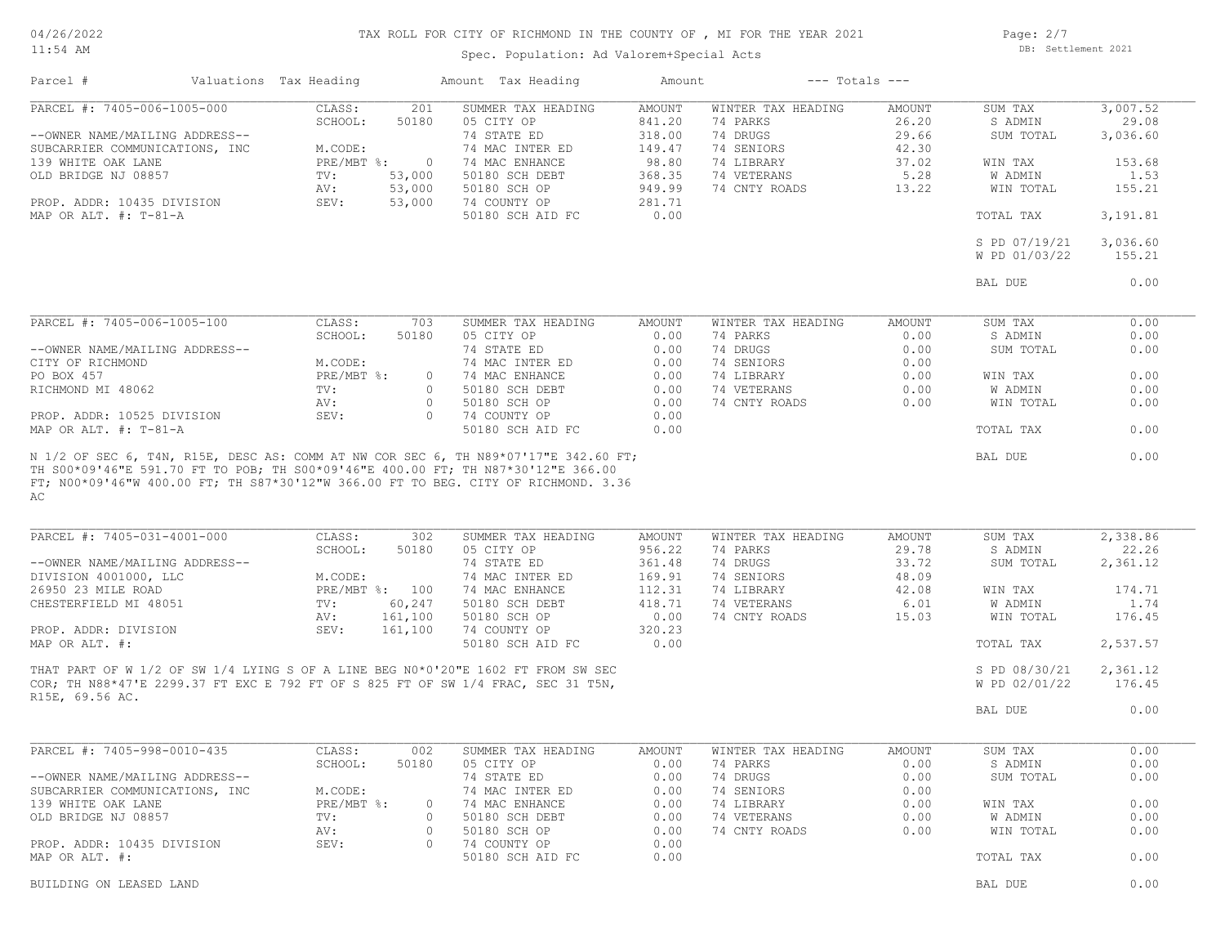#### 04/26/2022 11:54 AM

# TAX ROLL FOR CITY OF RICHMOND IN THE COUNTY OF , MI FOR THE YEAR 2021

Spec. Population: Ad Valorem+Special Acts

Page: 2/7 DB: Settlement 2021

| Parcel #                               | Valuations Tax Heading |                                | Amount Tax Heading                                                               | Amount           | $---$ Totals $---$             |                 |                      |                   |
|----------------------------------------|------------------------|--------------------------------|----------------------------------------------------------------------------------|------------------|--------------------------------|-----------------|----------------------|-------------------|
| PARCEL #: 7405-006-1005-000            |                        | CLASS:<br>SCHOOL:<br>50180     | 201<br>SUMMER TAX HEADING<br>05 CITY OP                                          | AMOUNT<br>841.20 | WINTER TAX HEADING<br>74 PARKS | AMOUNT<br>26.20 | SUM TAX<br>S ADMIN   | 3,007.52<br>29.08 |
| --OWNER NAME/MAILING ADDRESS--         |                        |                                | 74 STATE ED                                                                      | 318.00           | 74 DRUGS                       | 29.66           | SUM TOTAL            | 3,036.60          |
| SUBCARRIER COMMUNICATIONS, INC         |                        | M.CODE:                        | 74 MAC INTER ED                                                                  | 149.47           | 74 SENIORS                     | 42.30           |                      |                   |
| 139 WHITE OAK LANE                     |                        | $PRE/MBT$ $\div$               | $\circ$<br>74 MAC ENHANCE                                                        | 98.80            | 74 LIBRARY                     | 37.02           | WIN TAX              | 153.68            |
| OLD BRIDGE NJ 08857                    |                        | 53,000<br>TV:<br>53,000<br>AV: | 50180 SCH DEBT<br>50180 SCH OP                                                   | 368.35<br>949.99 | 74 VETERANS<br>74 CNTY ROADS   | 5.28<br>13.22   | W ADMIN<br>WIN TOTAL | 1.53<br>155.21    |
| PROP. ADDR: 10435 DIVISION             |                        | 53,000<br>SEV:                 | 74 COUNTY OP                                                                     | 281.71           |                                |                 |                      |                   |
| MAP OR ALT. $\#$ : T-81-A              |                        |                                | 50180 SCH AID FC                                                                 | 0.00             |                                |                 | TOTAL TAX            | 3,191.81          |
|                                        |                        |                                |                                                                                  |                  |                                |                 | S PD 07/19/21        | 3,036.60          |
|                                        |                        |                                |                                                                                  |                  |                                |                 | W PD 01/03/22        | 155.21            |
|                                        |                        |                                |                                                                                  |                  |                                |                 | BAL DUE              | 0.00              |
| PARCEL #: 7405-006-1005-100            |                        | CLASS:                         | 703<br>SUMMER TAX HEADING                                                        | AMOUNT           | WINTER TAX HEADING             | AMOUNT          | SUM TAX              | 0.00              |
|                                        |                        | SCHOOL:<br>50180               | 05 CITY OP                                                                       | 0.00             | 74 PARKS                       | 0.00            | S ADMIN              | 0.00              |
| --OWNER NAME/MAILING ADDRESS--         |                        |                                | 74 STATE ED                                                                      | 0.00             | 74 DRUGS                       | 0.00            | SUM TOTAL            | 0.00              |
| CITY OF RICHMOND                       |                        | M.CODE:                        | 74 MAC INTER ED                                                                  | 0.00             | 74 SENIORS                     | 0.00            |                      |                   |
| PO BOX 457                             |                        | PRE/MBT %:                     | 74 MAC ENHANCE<br>$\circ$                                                        | 0.00             | 74 LIBRARY                     | 0.00            | WIN TAX              | 0.00              |
| RICHMOND MI 48062                      |                        | TV:                            | $\Omega$<br>50180 SCH DEBT                                                       | 0.00             | 74 VETERANS                    | 0.00            | W ADMIN              | 0.00              |
| PROP. ADDR: 10525 DIVISION             |                        | AV:                            | $\circ$<br>50180 SCH OP<br>$\circ$                                               | 0.00             | 74 CNTY ROADS                  | 0.00            | WIN TOTAL            | 0.00              |
| MAP OR ALT. $\#$ : T-81-A              |                        | SEV:                           | 74 COUNTY OP<br>50180 SCH AID FC                                                 | 0.00<br>0.00     |                                |                 | TOTAL TAX            | 0.00              |
| AC                                     |                        |                                |                                                                                  |                  |                                |                 |                      |                   |
| PARCEL #: 7405-031-4001-000            |                        | CLASS:<br>SCHOOL:<br>50180     | SUMMER TAX HEADING<br>302<br>05 CITY OP                                          | AMOUNT<br>956.22 | WINTER TAX HEADING<br>74 PARKS | AMOUNT<br>29.78 | SUM TAX<br>S ADMIN   | 2,338.86<br>22.26 |
| --OWNER NAME/MAILING ADDRESS--         |                        |                                | 74 STATE ED                                                                      | 361.48           | 74 DRUGS                       | 33.72           | SUM TOTAL            | 2,361.12          |
| DIVISION 4001000, LLC                  |                        | M.CODE:                        | 74 MAC INTER ED                                                                  | 169.91           | 74 SENIORS                     | 48.09           |                      |                   |
| 26950 23 MILE ROAD                     |                        | PRE/MBT %: 100                 | 74 MAC ENHANCE                                                                   | 112.31           | 74 LIBRARY                     | 42.08           | WIN TAX              | 174.71            |
| CHESTERFIELD MI 48051                  |                        | 60,247<br>TV:                  | 50180 SCH DEBT                                                                   | 418.71           | 74 VETERANS                    | 6.01            | W ADMIN              | 1.74              |
|                                        |                        | 161,100<br>AV:                 | 50180 SCH OP                                                                     | 0.00             | 74 CNTY ROADS                  | 15.03           | WIN TOTAL            | 176.45            |
| PROP. ADDR: DIVISION<br>MAP OR ALT. #: |                        | 161,100<br>SEV:                | 74 COUNTY OP<br>50180 SCH AID FC                                                 | 320.23<br>0.00   |                                |                 | TOTAL TAX            | 2,537.57          |
|                                        |                        |                                | THAT PART OF W 1/2 OF SW 1/4 LYING S OF A LINE BEG N0*0'20"E 1602 FT FROM SW SEC |                  |                                |                 | S PD 08/30/21        | 2,361.12          |
|                                        |                        |                                | COR; TH N88*47'E 2299.37 FT EXC E 792 FT OF S 825 FT OF SW 1/4 FRAC, SEC 31 T5N, |                  |                                |                 | W PD 02/01/22        | 176.45            |
| R15E, 69.56 AC.                        |                        |                                |                                                                                  |                  |                                |                 | BAL DUE              | 0.00              |
| PARCEL #: 7405-998-0010-435            |                        | CLASS:                         | SUMMER TAX HEADING<br>002                                                        | AMOUNT           | WINTER TAX HEADING             | AMOUNT          | SUM TAX              | 0.00              |
|                                        |                        | SCHOOL:                        | 50180<br>05 CITY OP                                                              | 0.00             | 74 PARKS                       | 0.00            | S ADMIN              | 0.00              |
| --OWNER NAME/MAILING ADDRESS--         |                        |                                | 74 STATE ED                                                                      | 0.00             | 74 DRUGS                       | 0.00            | SUM TOTAL            | 0.00              |
| SUBCARRIER COMMUNICATIONS, INC         |                        | M.CODE:                        | 74 MAC INTER ED                                                                  | 0.00             | 74 SENIORS                     | 0.00            |                      |                   |
| 139 WHITE OAK LANE                     |                        | PRE/MBT %:                     | 74 MAC ENHANCE<br>$\circ$                                                        | 0.00             | 74 LIBRARY                     | 0.00            | WIN TAX              | 0.00              |
| OLD BRIDGE NJ 08857                    |                        | TV:                            | 50180 SCH DEBT<br>$\circ$                                                        | 0.00             | 74 VETERANS                    | 0.00            | W ADMIN              | 0.00              |
| PROP. ADDR: 10435 DIVISION             |                        | AV:<br>SEV:                    | 50180 SCH OP<br>$\circ$<br>$\circ$<br>74 COUNTY OP                               | 0.00<br>0.00     | 74 CNTY ROADS                  | 0.00            | WIN TOTAL            | 0.00              |
| MAP OR ALT. #:                         |                        |                                | 50180 SCH AID FC                                                                 | 0.00             |                                |                 | TOTAL TAX            | 0.00              |
| BUILDING ON LEASED LAND                |                        |                                |                                                                                  |                  |                                |                 | BAL DUE              | 0.00              |
|                                        |                        |                                |                                                                                  |                  |                                |                 |                      |                   |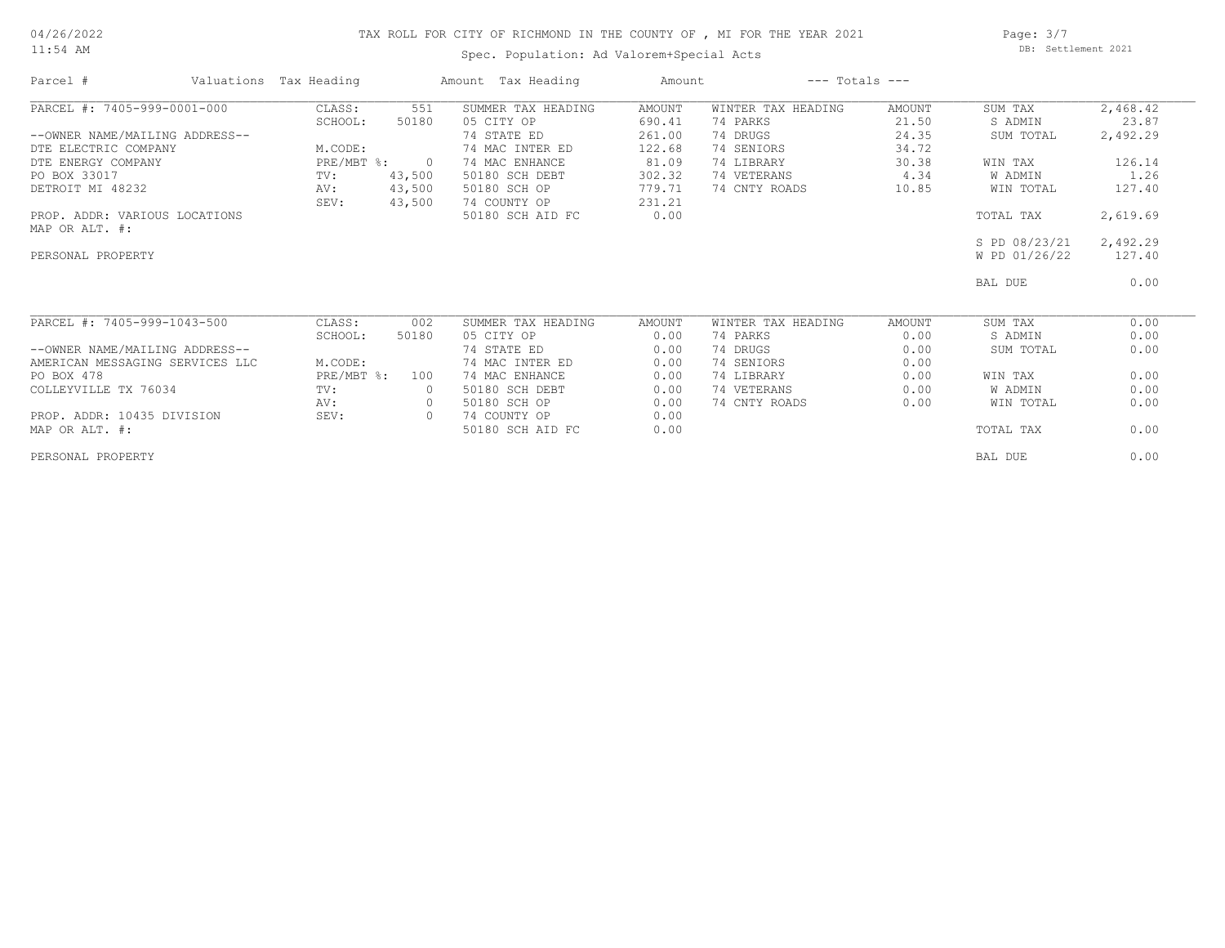# 04/26/2022 11:54 AM

# TAX ROLL FOR CITY OF RICHMOND IN THE COUNTY OF , MI FOR THE YEAR 2021

Spec. Population: Ad Valorem+Special Acts

Page: 3/7 DB: Settlement 2021

| Parcel #                        | Valuations Tax Heading    |                | Amount Tax Heading | Amount        |                    | $---$ Totals $---$ |               |          |
|---------------------------------|---------------------------|----------------|--------------------|---------------|--------------------|--------------------|---------------|----------|
| PARCEL #: 7405-999-0001-000     | CLASS:                    | 551            | SUMMER TAX HEADING | <b>AMOUNT</b> | WINTER TAX HEADING | <b>AMOUNT</b>      | SUM TAX       | 2,468.42 |
|                                 | SCHOOL:                   | 50180          | 05 CITY OP         | 690.41        | 74 PARKS           | 21.50              | S ADMIN       | 23.87    |
| --OWNER NAME/MAILING ADDRESS--  |                           |                | 74 STATE ED        | 261.00        | 74 DRUGS           | 24.35              | SUM TOTAL     | 2,492.29 |
| DTE ELECTRIC COMPANY            | M.CODE:                   |                | 74 MAC INTER ED    | 122.68        | 74 SENIORS         | 34.72              |               |          |
| DTE ENERGY COMPANY              | $PRE/MBT$ $\div$          | $\overline{0}$ | 74 MAC ENHANCE     | 81.09         | 74 LIBRARY         | 30.38              | WIN TAX       | 126.14   |
| PO BOX 33017                    | TV:                       | 43,500         | 50180 SCH DEBT     | 302.32        | 74 VETERANS        | 4.34               | W ADMIN       | 1.26     |
| DETROIT MI 48232                | AV:                       | 43,500         | 50180 SCH OP       | 779.71        | 74 CNTY ROADS      | 10.85              | WIN TOTAL     | 127.40   |
|                                 | SEV:                      | 43,500         | 74 COUNTY OP       | 231.21        |                    |                    |               |          |
| PROP. ADDR: VARIOUS LOCATIONS   |                           |                | 50180 SCH AID FC   | 0.00          |                    |                    | TOTAL TAX     | 2,619.69 |
| MAP OR ALT. #:                  |                           |                |                    |               |                    |                    |               |          |
|                                 |                           |                |                    |               |                    |                    | S PD 08/23/21 | 2,492.29 |
| PERSONAL PROPERTY               |                           |                |                    |               |                    |                    | W PD 01/26/22 | 127.40   |
|                                 |                           |                |                    |               |                    |                    | BAL DUE       | 0.00     |
| PARCEL #: 7405-999-1043-500     | CLASS:                    | 002            | SUMMER TAX HEADING | AMOUNT        | WINTER TAX HEADING | AMOUNT             | SUM TAX       | 0.00     |
|                                 | SCHOOL:                   | 50180          | 05 CITY OP         | 0.00          | 74 PARKS           | 0.00               | S ADMIN       | 0.00     |
| --OWNER NAME/MAILING ADDRESS--  |                           |                | 74 STATE ED        | 0.00          | 74 DRUGS           | 0.00               | SUM TOTAL     | 0.00     |
| AMERICAN MESSAGING SERVICES LLC | M.CODE:                   |                | 74 MAC INTER ED    | 0.00          | 74 SENIORS         | 0.00               |               |          |
| PO BOX 478                      | $PRE/MBT$ $\frac{1}{6}$ : | 100            | 74 MAC ENHANCE     | 0.00          | 74 LIBRARY         | 0.00               | WIN TAX       | 0.00     |
| COLLEYVILLE TX 76034            | TV:                       | $\circ$        | 50180 SCH DEBT     | 0.00          | 74 VETERANS        | 0.00               | W ADMIN       | 0.00     |
|                                 | AV:                       | $\circ$        | 50180 SCH OP       | 0.00          | 74 CNTY ROADS      | 0.00               | WIN TOTAL     | 0.00     |
| PROP. ADDR: 10435 DIVISION      | SEV:                      | $\circ$        | 74 COUNTY OP       | 0.00          |                    |                    |               |          |
| MAP OR ALT. #:                  |                           |                | 50180 SCH AID FC   | 0.00          |                    |                    | TOTAL TAX     | 0.00     |
| PERSONAL PROPERTY               |                           |                |                    |               |                    |                    | BAL DUE       | 0.00     |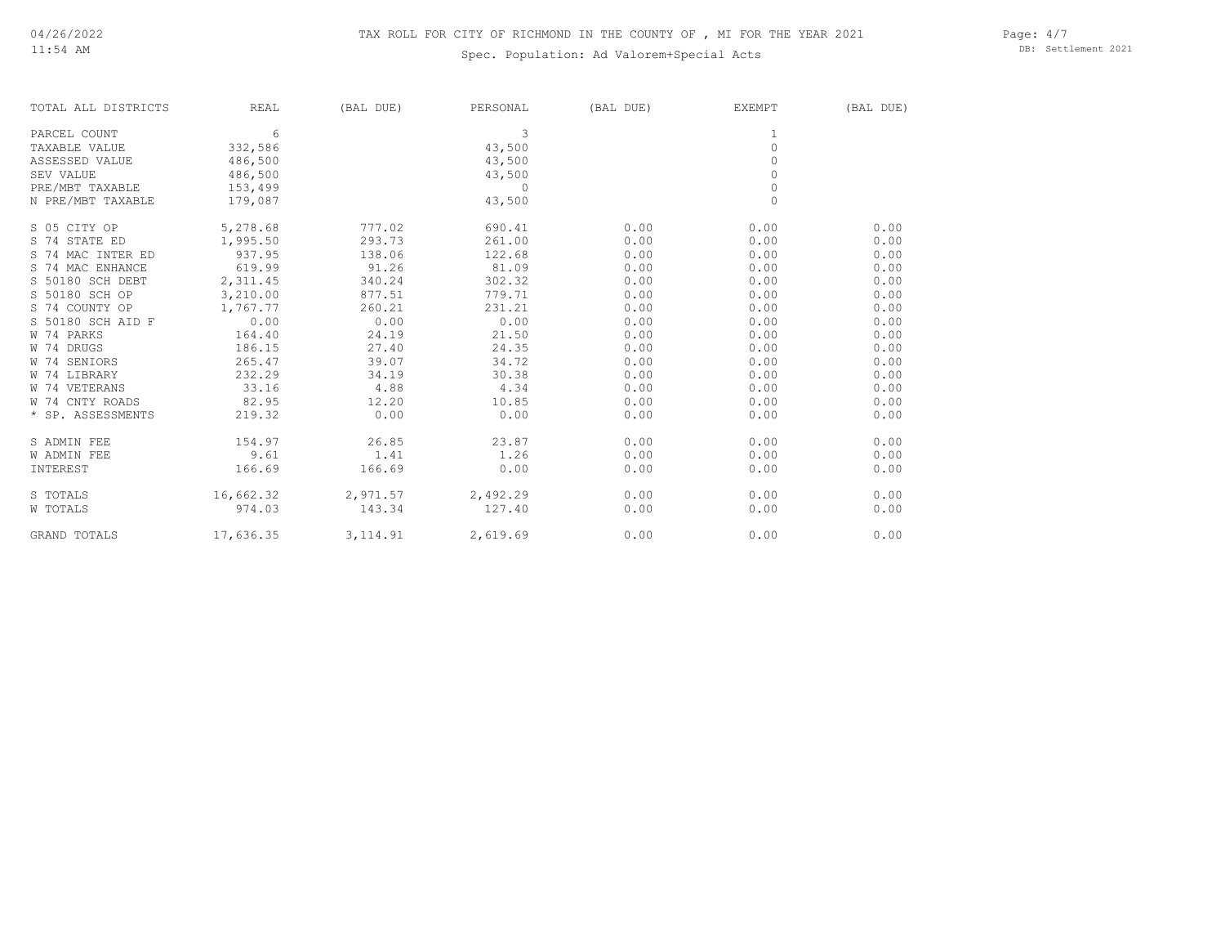# TAX ROLL FOR CITY OF RICHMOND IN THE COUNTY OF , MI FOR THE YEAR 2021

Spec. Population: Ad Valorem+Special Acts

Page: 4/7 DB: Settlement 2021

| TOTAL ALL DISTRICTS | REAL      | (BAL DUE)         | PERSONAL | (BAL DUE) | EXEMPT   | (BAL DUE) |
|---------------------|-----------|-------------------|----------|-----------|----------|-----------|
| PARCEL COUNT        | 6         |                   | 3        |           | 1        |           |
| TAXABLE VALUE       | 332,586   |                   | 43,500   |           | $\circ$  |           |
| ASSESSED VALUE      | 486,500   |                   | 43,500   |           | $\circ$  |           |
| SEV VALUE           | 486,500   |                   | 43,500   |           | $\Omega$ |           |
| PRE/MBT TAXABLE     | 153,499   |                   | $\Omega$ |           | $\Omega$ |           |
| N PRE/MBT TAXABLE   | 179,087   |                   | 43,500   |           | $\Omega$ |           |
| S 05 CITY OP        | 5,278.68  | 777.02            | 690.41   | 0.00      | 0.00     | 0.00      |
| S 74 STATE ED       | 1,995.50  | 293.73            | 261.00   | 0.00      | 0.00     | 0.00      |
| S 74 MAC INTER ED   | 937.95    | 138.06            | 122.68   | 0.00      | 0.00     | 0.00      |
| S 74 MAC ENHANCE    | 619.99    | 91.26             | 81.09    | 0.00      | 0.00     | 0.00      |
| S 50180 SCH DEBT    | 2,311.45  | 340.24            | 302.32   | 0.00      | 0.00     | 0.00      |
| S 50180 SCH OP      | 3,210.00  | 877.51            | 779.71   | 0.00      | 0.00     | 0.00      |
| S 74 COUNTY OP      | 1,767.77  | 260.21            | 231.21   | 0.00      | 0.00     | 0.00      |
| S 50180 SCH AID F   | 0.00      | 0.00              | 0.00     | 0.00      | 0.00     | 0.00      |
| W 74 PARKS          | 164.40    | 24.19             | 21.50    | 0.00      | 0.00     | 0.00      |
| W 74 DRUGS          | 186.15    | 27.40             | 24.35    | 0.00      | 0.00     | 0.00      |
| W 74 SENIORS        | 265.47    | 39.07             | 34.72    | 0.00      | 0.00     | 0.00      |
| W 74 LIBRARY        | 232.29    | 34.19             | 30.38    | 0.00      | 0.00     | 0.00      |
| W 74 VETERANS       | 33.16     | 4.88              | 4.34     | 0.00      | 0.00     | 0.00      |
| W 74 CNTY ROADS     | 82.95     | 12.20             | 10.85    | 0.00      | 0.00     | 0.00      |
| * SP. ASSESSMENTS   | 219.32    | 0.00              | 0.00     | 0.00      | 0.00     | 0.00      |
| S ADMIN FEE         | 154.97    | 26.85             | 23.87    | 0.00      | 0.00     | 0.00      |
| <b>W ADMIN FEE</b>  | 9.61      | 1.41              | 1.26     | 0.00      | 0.00     | 0.00      |
| INTEREST            | 166.69    | 166.69            | 0.00     | 0.00      | 0.00     | 0.00      |
| S TOTALS            | 16,662.32 | 2,971.57 2,492.29 |          | 0.00      | 0.00     | 0.00      |
| W TOTALS            | 974.03    | 143.34            | 127.40   | 0.00      | 0.00     | 0.00      |
| <b>GRAND TOTALS</b> | 17,636.35 | 3, 114.91         | 2,619.69 | 0.00      | 0.00     | 0.00      |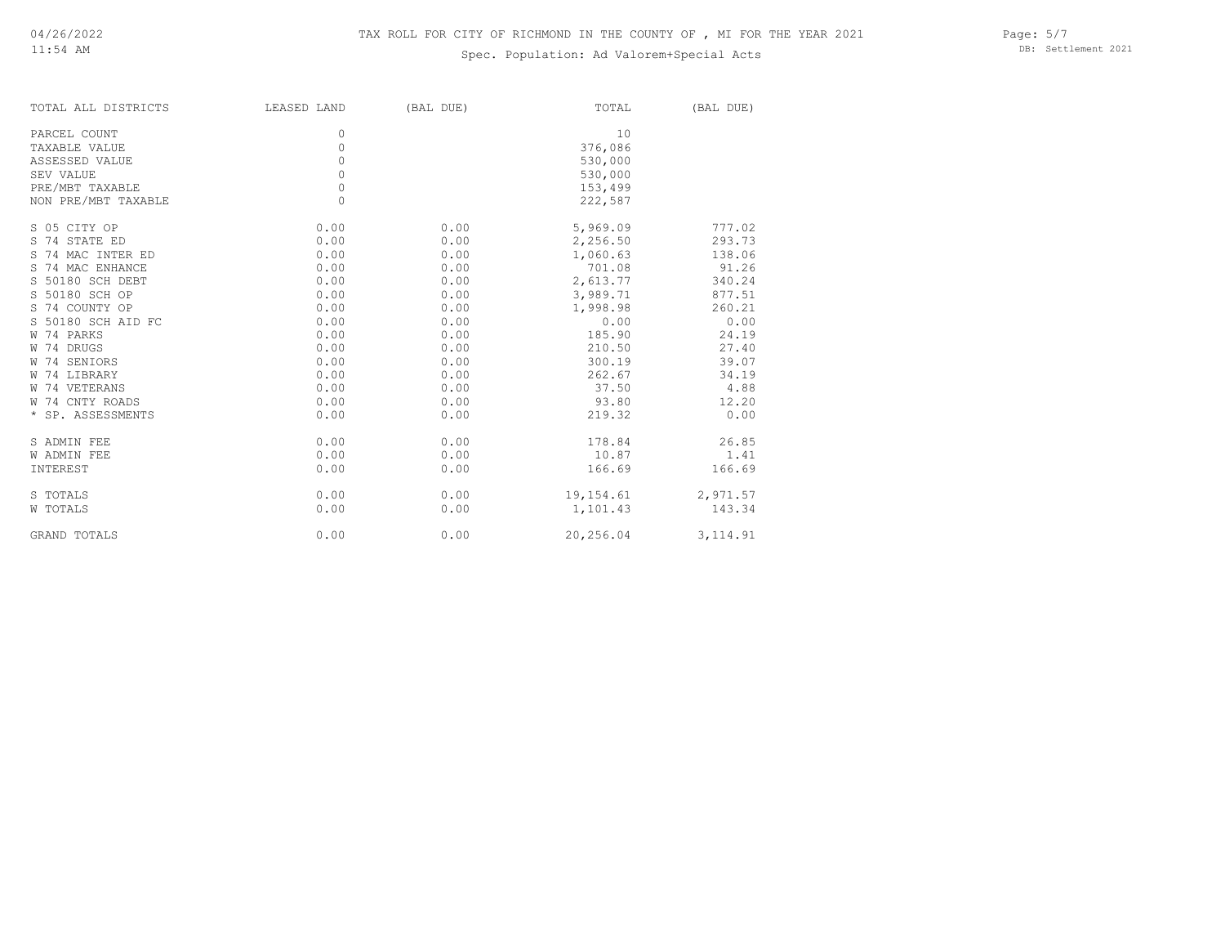# Spec. Population: Ad Valorem+Special Acts

Page: 5/7 DB: Settlement 2021

| ICHMOND IN THE COUNTY OF , MI FOF |  |  |  |  |
|-----------------------------------|--|--|--|--|
|                                   |  |  |  |  |

| TOTAL ALL DISTRICTS   | LEASED LAND | (BAL DUE) | TOTAL     | (BAL DUE) |
|-----------------------|-------------|-----------|-----------|-----------|
| PARCEL COUNT          | 0           |           | 10        |           |
| TAXABLE VALUE         | $\circ$     |           | 376,086   |           |
| ASSESSED VALUE        | $\circ$     |           | 530,000   |           |
| SEV VALUE             | $\circ$     |           | 530,000   |           |
| PRE/MBT TAXABLE       | $\circ$     |           | 153,499   |           |
| NON PRE/MBT TAXABLE   | $\Omega$    |           | 222,587   |           |
| S 05 CITY OP          | 0.00        | 0.00      | 5,969.09  | 777.02    |
| S 74 STATE ED         | 0.00        | 0.00      | 2,256.50  | 293.73    |
| 74 MAC INTER ED<br>S. | 0.00        | 0.00      | 1,060.63  | 138.06    |
| S 74 MAC ENHANCE      | 0.00        | 0.00      | 701.08    | 91.26     |
| S 50180 SCH DEBT      | 0.00        | 0.00      | 2,613.77  | 340.24    |
| S 50180 SCH OP        | 0.00        | 0.00      | 3,989.71  | 877.51    |
| S 74 COUNTY OP        | 0.00        | 0.00      | 1,998.98  | 260.21    |
| S 50180 SCH AID FC    | 0.00        | 0.00      | 0.00      | 0.00      |
| W 74 PARKS            | 0.00        | 0.00      | 185.90    | 24.19     |
| W 74 DRUGS            | 0.00        | 0.00      | 210.50    | 27.40     |
| W 74 SENIORS          | 0.00        | 0.00      | 300.19    | 39.07     |
| 74 LIBRARY<br>W       | 0.00        | 0.00      | 262.67    | 34.19     |
| 74 VETERANS<br>W      | 0.00        | 0.00      | 37.50     | 4.88      |
| 74 CNTY ROADS<br>W    | 0.00        | 0.00      | 93.80     | 12.20     |
| * SP. ASSESSMENTS     | 0.00        | 0.00      | 219.32    | 0.00      |
| S ADMIN FEE           | 0.00        | 0.00      | 178.84    | 26.85     |
| <b>W ADMIN FEE</b>    | 0.00        | 0.00      | 10.87     | 1.41      |
| INTEREST              | 0.00        | 0.00      | 166.69    | 166.69    |
| S TOTALS              | 0.00        | 0.00      | 19,154.61 | 2,971.57  |
| W TOTALS              | 0.00        | 0.00      | 1,101.43  | 143.34    |

GRAND TOTALS 6.00 0.00 0.00 0.00 0.00 0.00 20,256.04 3,114.91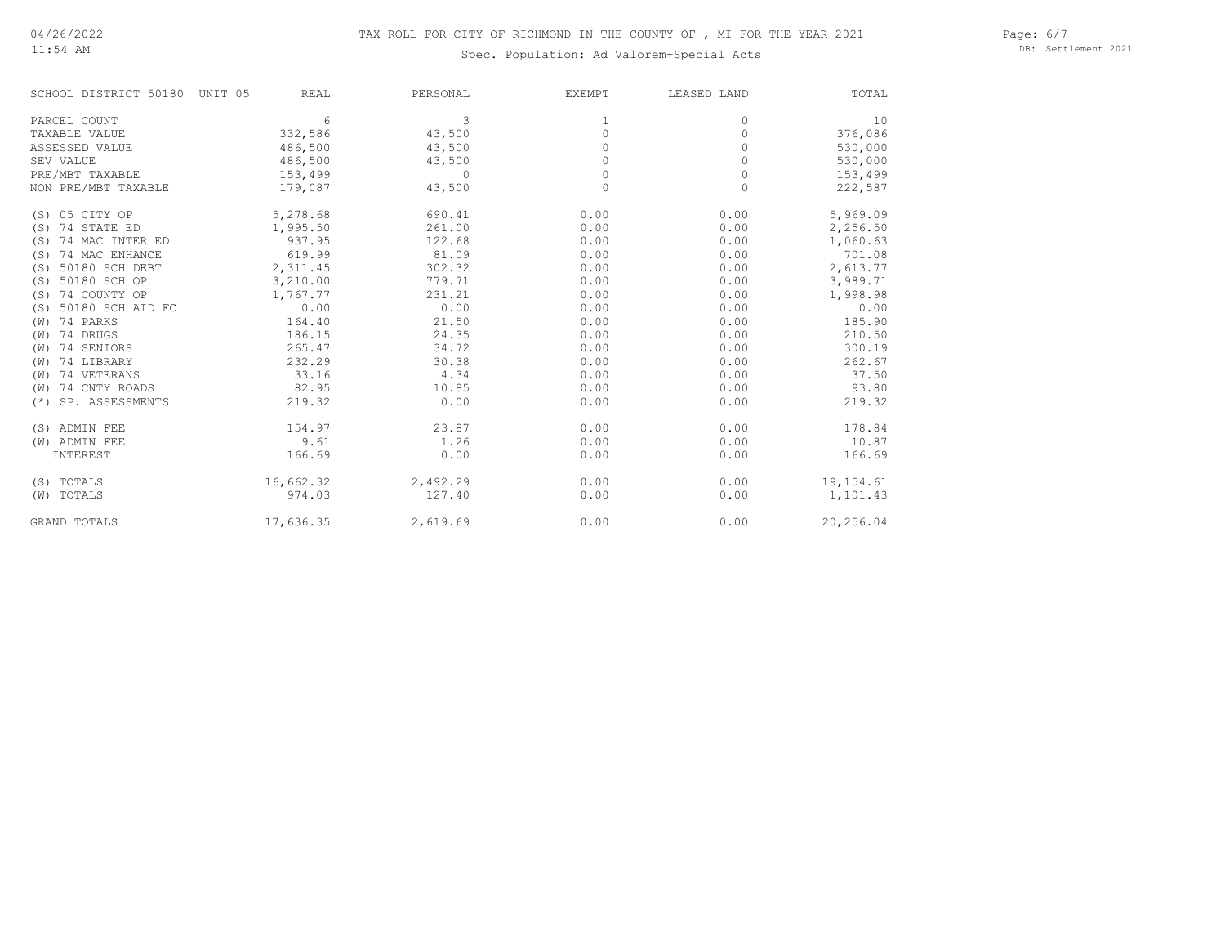#### Page: 6/7 DB: Settlement 2021

# Spec. Population: Ad Valorem+Special Acts

| SCHOOL DISTRICT 50180    | UNIT 05<br>REAL | PERSONAL | <b>EXEMPT</b> | LEASED LAND | TOTAL     |
|--------------------------|-----------------|----------|---------------|-------------|-----------|
| PARCEL COUNT             | 6               | 3        |               | $\Omega$    | 10        |
| TAXABLE VALUE            | 332,586         | 43,500   | 0             | 0           | 376,086   |
| ASSESSED VALUE           | 486,500         | 43,500   | 0             | 0           | 530,000   |
| SEV VALUE                | 486,500         | 43,500   | 0             | $\Omega$    | 530,000   |
| PRE/MBT TAXABLE          | 153,499         | $\Omega$ | $\Omega$      | $\Omega$    | 153,499   |
| NON PRE/MBT TAXABLE      | 179,087         | 43,500   | $\Omega$      | $\Omega$    | 222,587   |
| 05 CITY OP<br>(S)        | 5,278.68        | 690.41   | 0.00          | 0.00        | 5,969.09  |
| 74 STATE ED<br>(S)       | 1,995.50        | 261.00   | 0.00          | 0.00        | 2,256.50  |
| 74 MAC INTER ED<br>(S)   | 937.95          | 122.68   | 0.00          | 0.00        | 1,060.63  |
| 74 MAC ENHANCE<br>(S)    | 619.99          | 81.09    | 0.00          | 0.00        | 701.08    |
| 50180 SCH DEBT<br>(S)    | 2,311.45        | 302.32   | 0.00          | 0.00        | 2,613.77  |
| 50180 SCH OP<br>(S)      | 3,210.00        | 779.71   | 0.00          | 0.00        | 3,989.71  |
| 74 COUNTY OP<br>(S)      | 1,767.77        | 231.21   | 0.00          | 0.00        | 1,998.98  |
| 50180 SCH AID FC<br>(S)  | 0.00            | 0.00     | 0.00          | 0.00        | 0.00      |
| 74 PARKS<br>(W)          | 164.40          | 21.50    | 0.00          | 0.00        | 185.90    |
| 74 DRUGS<br>(W)          | 186.15          | 24.35    | 0.00          | 0.00        | 210.50    |
| 74 SENIORS<br>(W)        | 265.47          | 34.72    | 0.00          | 0.00        | 300.19    |
| 74 LIBRARY<br>(W)        | 232.29          | 30.38    | 0.00          | 0.00        | 262.67    |
| 74 VETERANS<br>(W)       | 33.16           | 4.34     | 0.00          | 0.00        | 37.50     |
| 74 CNTY ROADS<br>(W)     | 82.95           | 10.85    | 0.00          | 0.00        | 93.80     |
| SP. ASSESSMENTS<br>$(*)$ | 219.32          | 0.00     | 0.00          | 0.00        | 219.32    |
| (S) ADMIN FEE            | 154.97          | 23.87    | 0.00          | 0.00        | 178.84    |
| (W) ADMIN FEE            | 9.61            | 1.26     | 0.00          | 0.00        | 10.87     |
| INTEREST                 | 166.69          | 0.00     | 0.00          | 0.00        | 166.69    |
| (S) TOTALS               | 16,662.32       | 2,492.29 | 0.00          | 0.00        | 19,154.61 |
| (W) TOTALS               | 974.03          | 127.40   | 0.00          | 0.00        | 1,101.43  |
| <b>GRAND TOTALS</b>      | 17,636.35       | 2,619.69 | 0.00          | 0.00        | 20,256.04 |